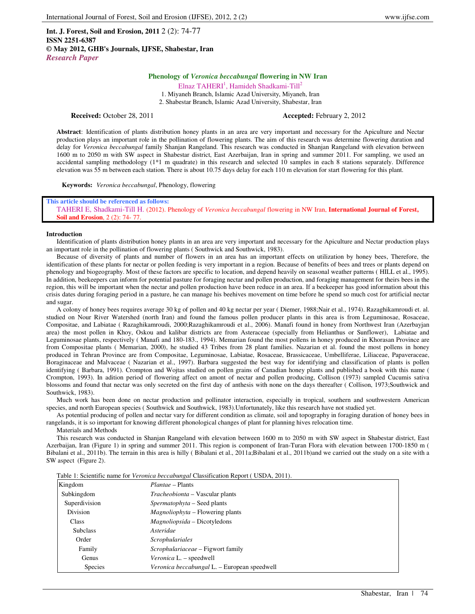**Int. J. Forest, Soil and Erosion, 2011** 2 (2): 74-77 **ISSN 2251-6387 © May 2012, GHB's Journals, IJFSE, Shabestar, Iran** *Research Paper*

# **Phenology of** *Veronica beccabungal* **flowering in NW Iran**

Elnaz TAHERI<sup>1</sup>, Hamideh Shadkami-Till<sup>2</sup>

1. Miyaneh Branch, Islamic Azad University, Miyaneh, Iran 2. Shabestar Branch, Islamic Azad University, Shabestar, Iran

**Received:** October 28, 2011 **Accepted: February 2, 2012** 

**Abstract**: Identification of plants distribution honey plants in an area are very important and necessary for the Apiculture and Nectar production plays an important role in the pollination of flowering plants. The aim of this research was determine flowering duration and delay for *Veronica beccabungal* family Shanjan Rangeland. This research was conducted in Shanjan Rangeland with elevation between 1600 m to 2050 m with SW aspect in Shabestar district, East Azerbaijan, Iran in spring and summer 2011. For sampling, we used an accidental sampling methodology (1\*1 m quadrate) in this research and selected 10 samples in each 8 stations separately. Difference elevation was 55 m between each station. There is about 10.75 days delay for each 110 m elevation for start flowering for this plant.

**Keywords:** *Veronica beccabungal*, Phenology, flowering

## **This article should be referenced as follows:**  TAHERI E, Shadkami-Till H. (2012). Phenology of *Veronica beccabungal* flowering in NW Iran, **International Journal of Forest, Soil and Erosion**, 2 (2): 74- 77.

#### **Introduction**

Identification of plants distribution honey plants in an area are very important and necessary for the Apiculture and Nectar production plays an important role in the pollination of flowering plants ( Southwick and Southwick, 1983).

Because of diversity of plants and number of flowers in an area has an important effects on utilization by honey bees, Therefore, the identification of these plants for nectar or pollen feeding is very important in a region. Because of benefits of bees and trees or plants depend on phenology and biogeography. Most of these factors are specific to location, and depend heavily on seasonal weather patterns ( HILL et al., 1995). In addition, beekeepers can inform for potential pasture for foraging nectar and pollen production, and foraging management for theirs bees in the region, this will be important when the nectar and pollen production have been reduce in an area. If a beekeeper has good information about this crisis dates during foraging period in a pasture, he can manage his beehives movement on time before he spend so much cost for artificial nectar and sugar.

A colony of honey bees requires average 30 kg of pollen and 40 kg nectar per year ( Diemer, 1988;Nair et al., 1974). Razaghikamroudi et. al. studied on Nour River Watershed (north Iran) and found the famous pollen producer plants in this area is from Leguminosae, Rosaceae, Compositae, and Labiatae ( Razaghikamroudi, 2000;Razaghikamroudi et al., 2006). Manafi found in honey from Northwest Iran (Azerbayjan area) the most pollen in Khoy, Oskou and kalibar districts are from Asteraceae (specially from Helianthus or Sunflower), Labiatae and Leguminosae plants, respectively ( Manafi and 180-183., 1994). Memarian found the most pollens in honey produced in Khorasan Province are from Compositae plants ( Memarian, 2000), he studied 43 Tribes from 28 plant families. Nazarian et al. found the most pollens in honey produced in Tehran Province are from Compositae, Leguminosae, Labiatae, Rosaceae, Brassicaceae, Umbelliferae, Liliaceae, Papaveraceae, Boraginaceae and Malvaceae ( Nazarian et al., 1997). Barbara suggested the best way for identifying and classification of plants is pollen identifying ( Barbara, 1991). Crompton and Wojtas studied on pollen grains of Canadian honey plants and published a book with this name ( Crompton, 1993). In adition period of flowering affect on amont of nectar and pollen producing, Collison (1973) sampled Cucumis sativa blossoms and found that nectar was only secreted on the first day of anthesis with none on the days thereafter ( Collison, 1973;Southwick and Southwick, 1983).

Much work has been done on nectar production and pollinator interaction, especially in tropical, southern and southwestern American species, and north European species ( Southwick and Southwick, 1983).Unfortunately, like this research have not studied yet.

As potential producing of pollen and nectar vary for different condition as climate, soil and topography in foraging duration of honey bees in rangelands, it is so important for knowing different phonological changes of plant for planning hives relocation time.

Materials and Methods

This research was conducted in Shanjan Rangeland with elevation between 1600 m to 2050 m with SW aspect in Shabestar district, East Azerbaijan, Iran (Figure 1) in spring and summer 2011. This region is component of Iran-Turan Flora with elevation between 1700-1850 m ( Bibalani et al., 2011b). The terrain in this area is hilly ( Bibalani et al., 2011a;Bibalani et al., 2011b)and we carried out the study on a site with a SW aspect (Figure 2).

Table 1: Scientific name for *Veronica beccabungal* Classification Report ( USDA, 2011).

| Kingdom         | <i>Plantae</i> – Plants                      |
|-----------------|----------------------------------------------|
| Subkingdom      | <i>Tracheobionta</i> – Vascular plants       |
| Superdivision   | Spermatophyta – Seed plants                  |
| Division        | <i>Magnoliophyta</i> – Flowering plants      |
| <b>Class</b>    | <i>Magnoliopsida</i> – Dicotyledons          |
| <b>Subclass</b> | Asteridae                                    |
| Order           | <i>Scrophulariales</i>                       |
| Family          | Scrophulariaceae – Figwort family            |
| Genus           | <i>Veronica</i> L. – speedwell               |
| <b>Species</b>  | Veronica beccabungal L. – European speedwell |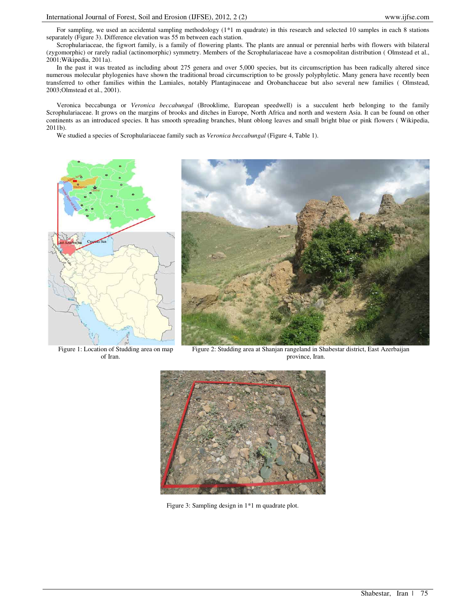For sampling, we used an accidental sampling methodology (1\*1 m quadrate) in this research and selected 10 samples in each 8 stations separately (Figure 3). Difference elevation was 55 m between each station.

Scrophulariaceae, the figwort family, is a family of flowering plants. The plants are annual or perennial herbs with flowers with bilateral (zygomorphic) or rarely radial (actinomorphic) symmetry. Members of the Scrophulariaceae have a cosmopolitan distribution ( Olmstead et al., 2001;Wikipedia, 2011a).

In the past it was treated as including about 275 genera and over 5,000 species, but its circumscription has been radically altered since numerous molecular phylogenies have shown the traditional broad circumscription to be grossly polyphyletic. Many genera have recently been transferred to other families within the Lamiales, notably Plantaginaceae and Orobanchaceae but also several new families ( Olmstead, 2003;Olmstead et al., 2001).

Veronica beccabunga or *Veronica beccabungal* (Brooklime, European speedwell) is a succulent herb belonging to the family Scrophulariaceae. It grows on the margins of brooks and ditches in Europe, North Africa and north and western Asia. It can be found on other continents as an introduced species. It has smooth spreading branches, blunt oblong leaves and small bright blue or pink flowers ( Wikipedia, 2011b).

We studied a species of Scrophulariaceae family such as *Veronica beccabungal* (Figure 4, Table 1).



Figure 1: Location of Studding area on map of Iran.



Figure 2: Studding area at Shanjan rangeland in Shabestar district, East Azerbaijan province, Iran.



Figure 3: Sampling design in 1\*1 m quadrate plot.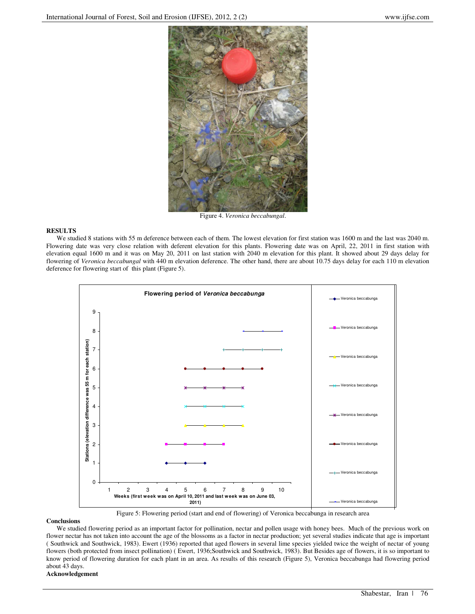

Figure 4. *Veronica beccabungal*.

### **RESULTS**

We studied 8 stations with 55 m deference between each of them. The lowest elevation for first station was 1600 m and the last was 2040 m. Flowering date was very close relation with deferent elevation for this plants. Flowering date was on April, 22, 2011 in first station with elevation equal 1600 m and it was on May 20, 2011 on last station with 2040 m elevation for this plant. It showed about 29 days delay for flowering of *Veronica beccabungal* with 440 m elevation deference. The other hand, there are about 10.75 days delay for each 110 m elevation deference for flowering start of this plant (Figure 5).



Figure 5: Flowering period (start and end of flowering) of Veronica beccabunga in research area

#### **Conclusions**

We studied flowering period as an important factor for pollination, nectar and pollen usage with honey bees. Much of the previous work on flower nectar has not taken into account the age of the blossoms as a factor in nectar production; yet several studies indicate that age is important ( Southwick and Southwick, 1983). Ewert (1936) reported that aged flowers in several lime species yielded twice the weight of nectar of young flowers (both protected from insect pollination) ( Ewert, 1936;Southwick and Southwick, 1983). But Besides age of flowers, it is so important to know period of flowering duration for each plant in an area. As results of this research (Figure 5), Veronica beccabunga had flowering period about 43 days.

# **Acknowledgement**